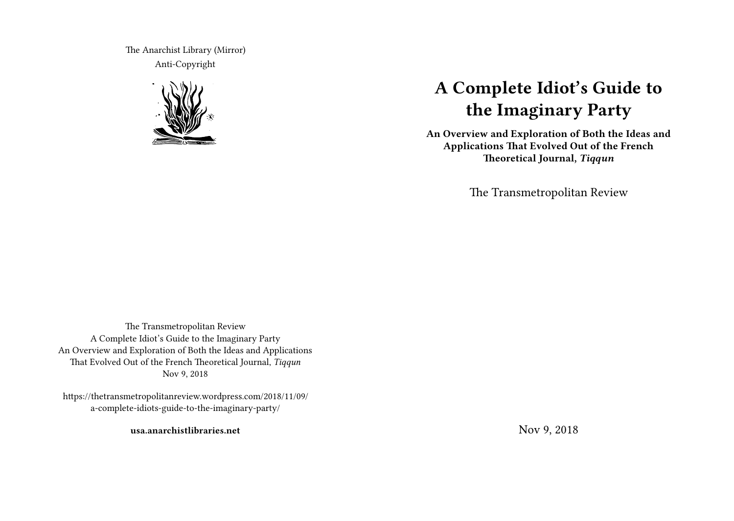The Anarchist Library (Mirror) Anti-Copyright



# **A Complete Idiot's Guide to the Imaginary Party**

**An Overview and Exploration of Both the Ideas and Applications That Evolved Out of the French Theoretical Journal,** *Tiqqun*

The Transmetropolitan Review

The Transmetropolitan Review A Complete Idiot's Guide to the Imaginary Party An Overview and Exploration of Both the Ideas and Applications That Evolved Out of the French Theoretical Journal, *Tiqqun* Nov 9, 2018

https://thetransmetropolitanreview.wordpress.com/2018/11/09/ a-complete-idiots-guide-to-the-imaginary-party/

**usa.anarchistlibraries.net**

Nov 9, 2018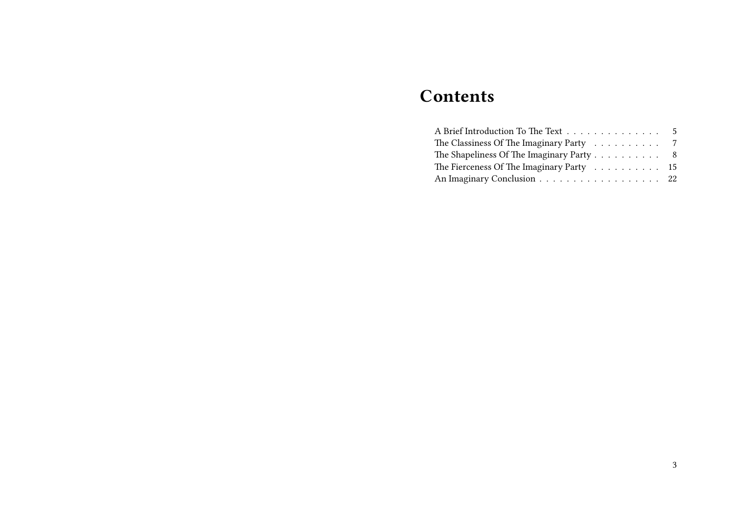## **Contents**

| A Brief Introduction To The Text 5       |  |
|------------------------------------------|--|
| The Classiness Of The Imaginary Party 7  |  |
| The Shapeliness Of The Imaginary Party 8 |  |
| The Fierceness Of The Imaginary Party 15 |  |
| An Imaginary Conclusion 22               |  |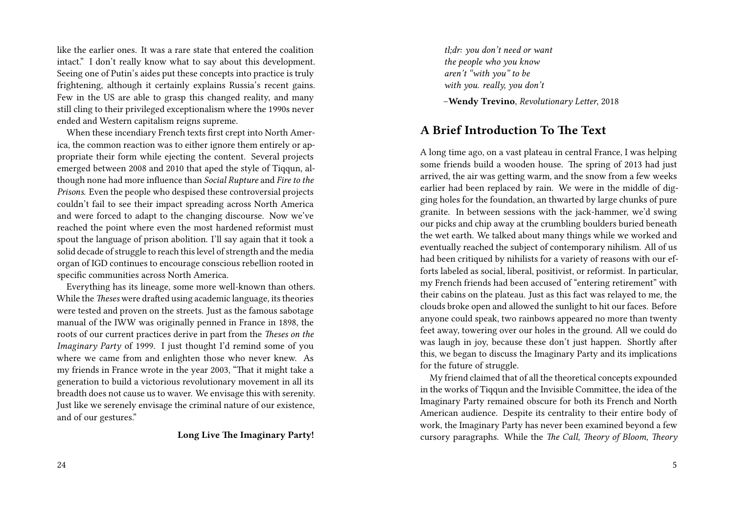like the earlier ones. It was a rare state that entered the coalition intact." I don't really know what to say about this development. Seeing one of Putin's aides put these concepts into practice is truly frightening, although it certainly explains Russia's recent gains. Few in the US are able to grasp this changed reality, and many still cling to their privileged exceptionalism where the 1990s never ended and Western capitalism reigns supreme.

When these incendiary French texts first crept into North America, the common reaction was to either ignore them entirely or appropriate their form while ejecting the content. Several projects emerged between 2008 and 2010 that aped the style of Tiqqun, although none had more influence than *Social Rupture* and *Fire to the Prisons*. Even the people who despised these controversial projects couldn't fail to see their impact spreading across North America and were forced to adapt to the changing discourse. Now we've reached the point where even the most hardened reformist must spout the language of prison abolition. I'll say again that it took a solid decade of struggle to reach this level of strength and the media organ of IGD continues to encourage conscious rebellion rooted in specific communities across North America.

Everything has its lineage, some more well-known than others. While the *Theses* were drafted using academic language, its theories were tested and proven on the streets. Just as the famous sabotage manual of the IWW was originally penned in France in 1898, the roots of our current practices derive in part from the *Theses on the Imaginary Party* of 1999. I just thought I'd remind some of you where we came from and enlighten those who never knew. As my friends in France wrote in the year 2003, "That it might take a generation to build a victorious revolutionary movement in all its breadth does not cause us to waver. We envisage this with serenity. Just like we serenely envisage the criminal nature of our existence, and of our gestures."

#### **Long Live The Imaginary Party!**

*tl;dr: you don't need or want the people who you know aren't "with you" to be with you. really, you don't*

–**Wendy Trevino**, *Revolutionary Letter*, 2018

#### **A Brief Introduction To The Text**

A long time ago, on a vast plateau in central France, I was helping some friends build a wooden house. The spring of 2013 had just arrived, the air was getting warm, and the snow from a few weeks earlier had been replaced by rain. We were in the middle of digging holes for the foundation, an thwarted by large chunks of pure granite. In between sessions with the jack-hammer, we'd swing our picks and chip away at the crumbling boulders buried beneath the wet earth. We talked about many things while we worked and eventually reached the subject of contemporary nihilism. All of us had been critiqued by nihilists for a variety of reasons with our efforts labeled as social, liberal, positivist, or reformist. In particular, my French friends had been accused of "entering retirement" with their cabins on the plateau. Just as this fact was relayed to me, the clouds broke open and allowed the sunlight to hit our faces. Before anyone could speak, two rainbows appeared no more than twenty feet away, towering over our holes in the ground. All we could do was laugh in joy, because these don't just happen. Shortly after this, we began to discuss the Imaginary Party and its implications for the future of struggle.

My friend claimed that of all the theoretical concepts expounded in the works of Tiqqun and the Invisible Committee, the idea of the Imaginary Party remained obscure for both its French and North American audience. Despite its centrality to their entire body of work, the Imaginary Party has never been examined beyond a few cursory paragraphs. While the *The Call, Theory of Bloom, Theory*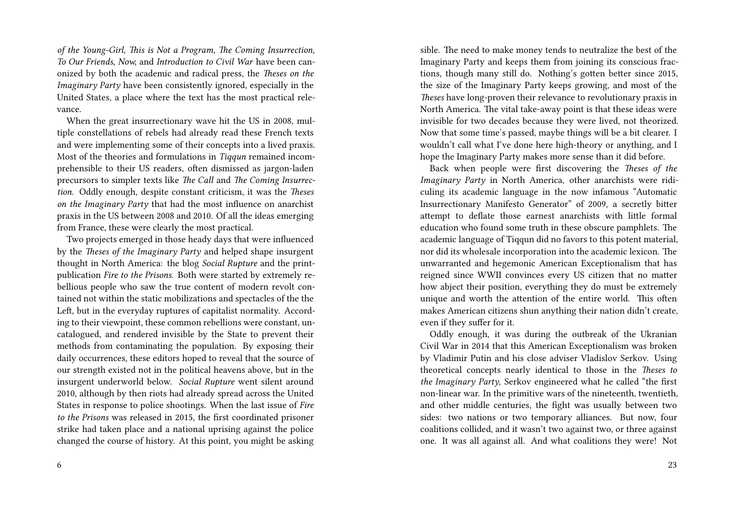*of the Young-Girl, This is Not a Program, The Coming Insurrection, To Our Friends, Now,* and *Introduction to Civil War* have been canonized by both the academic and radical press, the *Theses on the Imaginary Party* have been consistently ignored, especially in the United States, a place where the text has the most practical relevance.

When the great insurrectionary wave hit the US in 2008, multiple constellations of rebels had already read these French texts and were implementing some of their concepts into a lived praxis. Most of the theories and formulations in *Tiqqun* remained incomprehensible to their US readers, often dismissed as jargon-laden precursors to simpler texts like *The Call* and *The Coming Insurrection.* Oddly enough, despite constant criticism, it was the *Theses on the Imaginary Party* that had the most influence on anarchist praxis in the US between 2008 and 2010. Of all the ideas emerging from France, these were clearly the most practical.

Two projects emerged in those heady days that were influenced by the *Theses of the Imaginary Party* and helped shape insurgent thought in North America: the blog *Social Rupture* and the printpublication *Fire to the Prisons.* Both were started by extremely rebellious people who saw the true content of modern revolt contained not within the static mobilizations and spectacles of the the Left, but in the everyday ruptures of capitalist normality. According to their viewpoint, these common rebellions were constant, uncatalogued, and rendered invisible by the State to prevent their methods from contaminating the population. By exposing their daily occurrences, these editors hoped to reveal that the source of our strength existed not in the political heavens above, but in the insurgent underworld below. *Social Rupture* went silent around 2010, although by then riots had already spread across the United States in response to police shootings. When the last issue of *Fire to the Prisons* was released in 2015, the first coordinated prisoner strike had taken place and a national uprising against the police changed the course of history. At this point, you might be asking sible. The need to make money tends to neutralize the best of the Imaginary Party and keeps them from joining its conscious fractions, though many still do. Nothing's gotten better since 2015, the size of the Imaginary Party keeps growing, and most of the *Theses* have long-proven their relevance to revolutionary praxis in North America. The vital take-away point is that these ideas were invisible for two decades because they were lived, not theorized. Now that some time's passed, maybe things will be a bit clearer. I wouldn't call what I've done here high-theory or anything, and I hope the Imaginary Party makes more sense than it did before.

Back when people were first discovering the *Theses of the Imaginary Party* in North America, other anarchists were ridiculing its academic language in the now infamous "Automatic Insurrectionary Manifesto Generator" of 2009, a secretly bitter attempt to deflate those earnest anarchists with little formal education who found some truth in these obscure pamphlets. The academic language of Tiqqun did no favors to this potent material, nor did its wholesale incorporation into the academic lexicon. The unwarranted and hegemonic American Exceptionalism that has reigned since WWII convinces every US citizen that no matter how abject their position, everything they do must be extremely unique and worth the attention of the entire world. This often makes American citizens shun anything their nation didn't create, even if they suffer for it.

Oddly enough, it was during the outbreak of the Ukranian Civil War in 2014 that this American Exceptionalism was broken by Vladimir Putin and his close adviser Vladislov Serkov. Using theoretical concepts nearly identical to those in the *Theses to the Imaginary Party*, Serkov engineered what he called "the first non-linear war. In the primitive wars of the nineteenth, twentieth, and other middle centuries, the fight was usually between two sides: two nations or two temporary alliances. But now, four coalitions collided, and it wasn't two against two, or three against one. It was all against all. And what coalitions they were! Not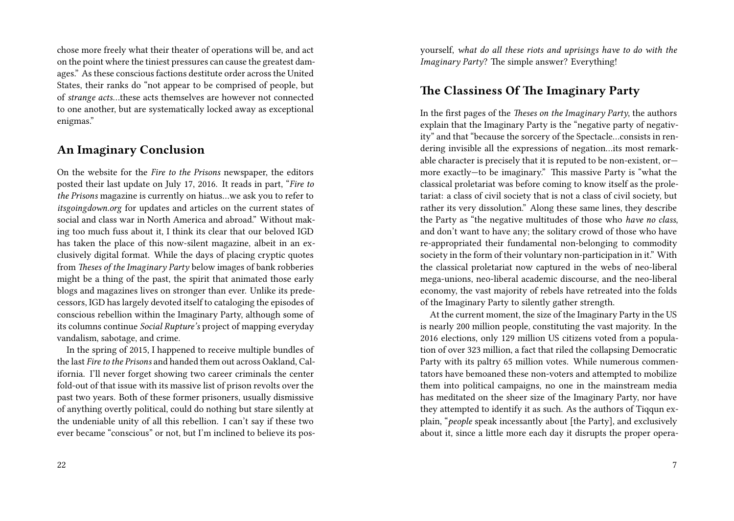chose more freely what their theater of operations will be, and act on the point where the tiniest pressures can cause the greatest damages." As these conscious factions destitute order across the United States, their ranks do "not appear to be comprised of people, but of *strange acts*…these acts themselves are however not connected to one another, but are systematically locked away as exceptional enigmas."

### **An Imaginary Conclusion**

On the website for the *Fire to the Prisons* newspaper, the editors posted their last update on July 17, 2016. It reads in part, "*Fire to the Prisons* magazine is currently on hiatus…we ask you to refer to *itsgoingdown.org* for updates and articles on the current states of social and class war in North America and abroad." Without making too much fuss about it, I think its clear that our beloved IGD has taken the place of this now-silent magazine, albeit in an exclusively digital format. While the days of placing cryptic quotes from *Theses of the Imaginary Party* below images of bank robberies might be a thing of the past, the spirit that animated those early blogs and magazines lives on stronger than ever. Unlike its predecessors, IGD has largely devoted itself to cataloging the episodes of conscious rebellion within the Imaginary Party, although some of its columns continue *Social Rupture's* project of mapping everyday vandalism, sabotage, and crime.

In the spring of 2015, I happened to receive multiple bundles of the last *Fire to the Prisons* and handed them out across Oakland, California. I'll never forget showing two career criminals the center fold-out of that issue with its massive list of prison revolts over the past two years. Both of these former prisoners, usually dismissive of anything overtly political, could do nothing but stare silently at the undeniable unity of all this rebellion. I can't say if these two ever became "conscious" or not, but I'm inclined to believe its pos-

22

yourself, *what do all these riots and uprisings have to do with the Imaginary Party*? The simple answer? Everything!

#### **The Classiness Of The Imaginary Party**

In the first pages of the *Theses on the Imaginary Party*, the authors explain that the Imaginary Party is the "negative party of negativity" and that "because the sorcery of the Spectacle…consists in rendering invisible all the expressions of negation…its most remarkable character is precisely that it is reputed to be non-existent, or more exactly—to be imaginary." This massive Party is "what the classical proletariat was before coming to know itself as the proletariat: a class of civil society that is not a class of civil society, but rather its very dissolution." Along these same lines, they describe the Party as "the negative multitudes of those who *have no class*, and don't want to have any; the solitary crowd of those who have re-appropriated their fundamental non-belonging to commodity society in the form of their voluntary non-participation in it." With the classical proletariat now captured in the webs of neo-liberal mega-unions, neo-liberal academic discourse, and the neo-liberal economy, the vast majority of rebels have retreated into the folds of the Imaginary Party to silently gather strength.

At the current moment, the size of the Imaginary Party in the US is nearly 200 million people, constituting the vast majority. In the 2016 elections, only 129 million US citizens voted from a population of over 323 million, a fact that riled the collapsing Democratic Party with its paltry 65 million votes. While numerous commentators have bemoaned these non-voters and attempted to mobilize them into political campaigns, no one in the mainstream media has meditated on the sheer size of the Imaginary Party, nor have they attempted to identify it as such. As the authors of Tiqqun explain, "*people* speak incessantly about [the Party], and exclusively about it, since a little more each day it disrupts the proper opera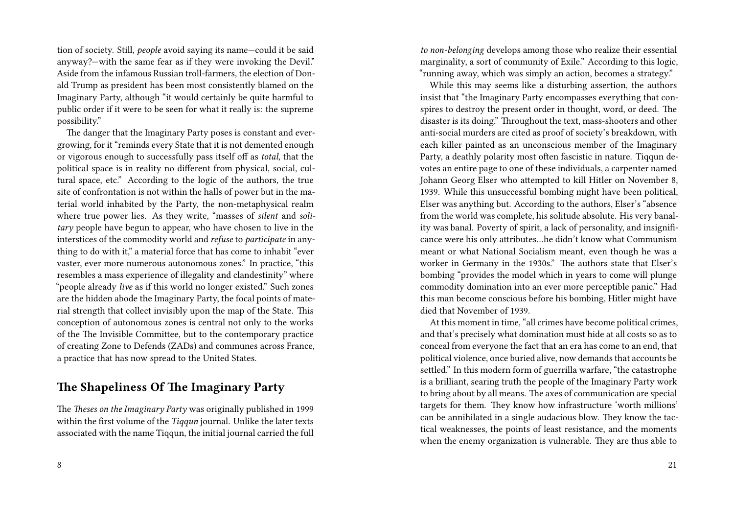tion of society. Still, *people* avoid saying its name—could it be said anyway?—with the same fear as if they were invoking the Devil." Aside from the infamous Russian troll-farmers, the election of Donald Trump as president has been most consistently blamed on the Imaginary Party, although "it would certainly be quite harmful to public order if it were to be seen for what it really is: the supreme possibility."

The danger that the Imaginary Party poses is constant and evergrowing, for it "reminds every State that it is not demented enough or vigorous enough to successfully pass itself off as *total*, that the political space is in reality no different from physical, social, cultural space, etc." According to the logic of the authors, the true site of confrontation is not within the halls of power but in the material world inhabited by the Party, the non-metaphysical realm where true power lies. As they write, "masses of *silent* and *solitary* people have begun to appear, who have chosen to live in the interstices of the commodity world and *refuse* to *participate* in anything to do with it," a material force that has come to inhabit "ever vaster, ever more numerous autonomous zones." In practice, "this resembles a mass experience of illegality and clandestinity" where "people already *live* as if this world no longer existed." Such zones are the hidden abode the Imaginary Party, the focal points of material strength that collect invisibly upon the map of the State. This conception of autonomous zones is central not only to the works of the The Invisible Committee, but to the contemporary practice of creating Zone to Defends (ZADs) and communes across France, a practice that has now spread to the United States.

#### **The Shapeliness Of The Imaginary Party**

The *Theses on the Imaginary Party* was originally published in 1999 within the first volume of the *Tiqqun* journal. Unlike the later texts associated with the name Tiqqun, the initial journal carried the full

*to non-belonging* develops among those who realize their essential marginality, a sort of community of Exile." According to this logic, "running away, which was simply an action, becomes a strategy."

While this may seems like a disturbing assertion, the authors insist that "the Imaginary Party encompasses everything that conspires to destroy the present order in thought, word, or deed. The disaster is its doing." Throughout the text, mass-shooters and other anti-social murders are cited as proof of society's breakdown, with each killer painted as an unconscious member of the Imaginary Party, a deathly polarity most often fascistic in nature. Tiqqun devotes an entire page to one of these individuals, a carpenter named Johann Georg Elser who attempted to kill Hitler on November 8, 1939. While this unsuccessful bombing might have been political, Elser was anything but. According to the authors, Elser's "absence from the world was complete, his solitude absolute. His very banality was banal. Poverty of spirit, a lack of personality, and insignificance were his only attributes…he didn't know what Communism meant or what National Socialism meant, even though he was a worker in Germany in the 1930s." The authors state that Elser's bombing "provides the model which in years to come will plunge commodity domination into an ever more perceptible panic." Had this man become conscious before his bombing, Hitler might have died that November of 1939.

At this moment in time, "all crimes have become political crimes, and that's precisely what domination must hide at all costs so as to conceal from everyone the fact that an era has come to an end, that political violence, once buried alive, now demands that accounts be settled." In this modern form of guerrilla warfare, "the catastrophe is a brilliant, searing truth the people of the Imaginary Party work to bring about by all means. The axes of communication are special targets for them. They know how infrastructure 'worth millions' can be annihilated in a single audacious blow. They know the tactical weaknesses, the points of least resistance, and the moments when the enemy organization is vulnerable. They are thus able to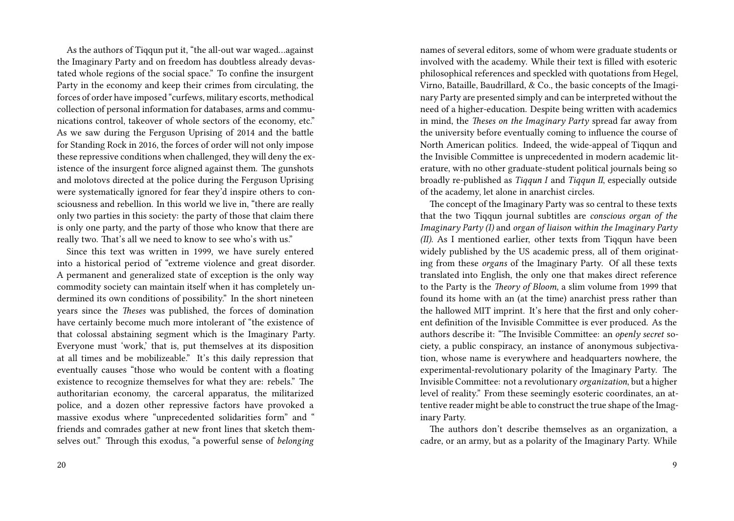As the authors of Tiqqun put it, "the all-out war waged…against the Imaginary Party and on freedom has doubtless already devastated whole regions of the social space." To confine the insurgent Party in the economy and keep their crimes from circulating, the forces of order have imposed "curfews, military escorts, methodical collection of personal information for databases, arms and communications control, takeover of whole sectors of the economy, etc." As we saw during the Ferguson Uprising of 2014 and the battle for Standing Rock in 2016, the forces of order will not only impose these repressive conditions when challenged, they will deny the existence of the insurgent force aligned against them. The gunshots and molotovs directed at the police during the Ferguson Uprising were systematically ignored for fear they'd inspire others to consciousness and rebellion. In this world we live in, "there are really only two parties in this society: the party of those that claim there is only one party, and the party of those who know that there are really two. That's all we need to know to see who's with us."

Since this text was written in 1999, we have surely entered into a historical period of "extreme violence and great disorder. A permanent and generalized state of exception is the only way commodity society can maintain itself when it has completely undermined its own conditions of possibility." In the short nineteen years since the *Theses* was published, the forces of domination have certainly become much more intolerant of "the existence of that colossal abstaining segment which is the Imaginary Party. Everyone must 'work,' that is, put themselves at its disposition at all times and be mobilizeable." It's this daily repression that eventually causes "those who would be content with a floating existence to recognize themselves for what they are: rebels." The authoritarian economy, the carceral apparatus, the militarized police, and a dozen other repressive factors have provoked a massive exodus where "unprecedented solidarities form" and " friends and comrades gather at new front lines that sketch themselves out." Through this exodus, "a powerful sense of *belonging*

names of several editors, some of whom were graduate students or involved with the academy. While their text is filled with esoteric philosophical references and speckled with quotations from Hegel, Virno, Bataille, Baudrillard, & Co., the basic concepts of the Imaginary Party are presented simply and can be interpreted without the need of a higher-education. Despite being written with academics in mind, the *Theses on the Imaginary Party* spread far away from the university before eventually coming to influence the course of North American politics. Indeed, the wide-appeal of Tigqun and the Invisible Committee is unprecedented in modern academic literature, with no other graduate-student political journals being so broadly re-published as *Tiqqun I* and *Tiqqun II*, especially outside of the academy, let alone in anarchist circles.

The concept of the Imaginary Party was so central to these texts that the two Tiqqun journal subtitles are *conscious organ of the Imaginary Party (I)* and *organ of liaison within the Imaginary Party (II)*. As I mentioned earlier, other texts from Tiqqun have been widely published by the US academic press, all of them originating from these *organs* of the Imaginary Party. Of all these texts translated into English, the only one that makes direct reference to the Party is the *Theory of Bloom,* a slim volume from 1999 that found its home with an (at the time) anarchist press rather than the hallowed MIT imprint. It's here that the first and only coherent definition of the Invisible Committee is ever produced. As the authors describe it: "The Invisible Committee: an *openly secret* society, a public conspiracy, an instance of anonymous subjectivation, whose name is everywhere and headquarters nowhere, the experimental-revolutionary polarity of the Imaginary Party. The Invisible Committee: not a revolutionary *organization*, but a higher level of reality." From these seemingly esoteric coordinates, an attentive reader might be able to construct the true shape of the Imaginary Party.

The authors don't describe themselves as an organization, a cadre, or an army, but as a polarity of the Imaginary Party. While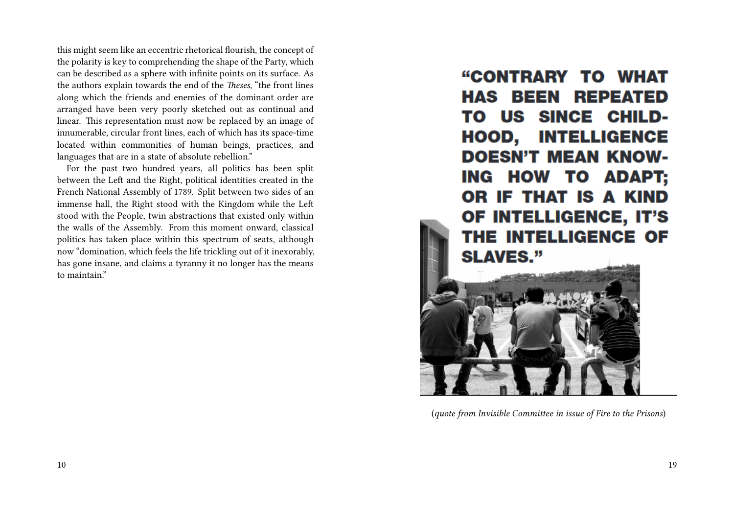this might seem like an eccentric rhetorical flourish, the concept of the polarity is key to comprehending the shape of the Party, which can be described as a sphere with infinite points on its surface. As the authors explain towards the end of the *Theses*, "the front lines along which the friends and enemies of the dominant order are arranged have been very poorly sketched out as continual and linear. This representation must now be replaced by an image of innumerable, circular front lines, each of which has its space-time located within communities of human beings, practices, and languages that are in a state of absolute rebellion."

For the past two hundred years, all politics has been split between the Left and the Right, political identities created in the French National Assembly of 1789. Split between two sides of an immense hall, the Right stood with the Kingdom while the Left stood with the People, twin abstractions that existed only within the walls of the Assembly. From this moment onward, classical politics has taken place within this spectrum of seats, although now "domination, which feels the life trickling out of it inexorably, has gone insane, and claims a tyranny it no longer has the means to maintain."

"CONTRARY TO WHAT **HAS BEEN REPEATED** TO US SINCE CHILD-**HOOD, INTELLIGENCE DOESN'T MEAN KNOW-**ING HOW TO ADAPT; OR IF THAT IS A KIND OF INTELLIGENCE, IT'S THE INTELLIGENCE OF **SLAVES."** 



(*quote from Invisible Committee in issue of Fire to the Prisons*)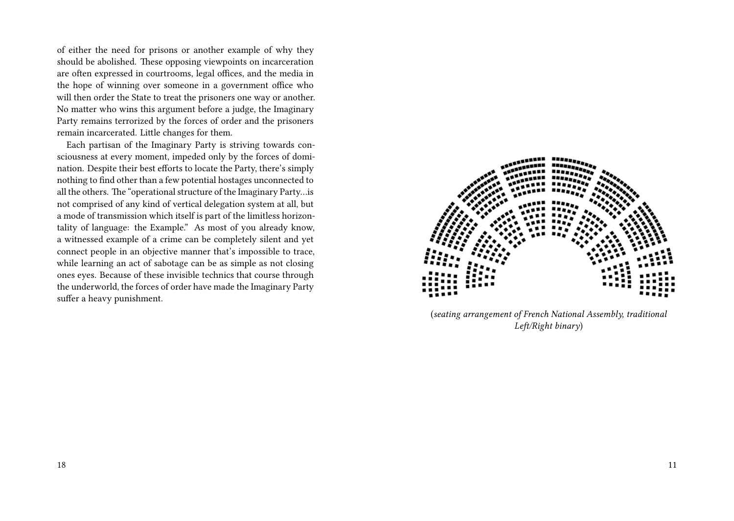of either the need for prisons or another example of why they should be abolished. These opposing viewpoints on incarceration are often expressed in courtrooms, legal offices, and the media in the hope of winning over someone in a government office who will then order the State to treat the prisoners one way or another. No matter who wins this argument before a judge, the Imaginary Party remains terrorized by the forces of order and the prisoners remain incarcerated. Little changes for them.

Each partisan of the Imaginary Party is striving towards consciousness at every moment, impeded only by the forces of domination. Despite their best efforts to locate the Party, there's simply nothing to find other than a few potential hostages unconnected to all the others. The "operational structure of the Imaginary Party…is not comprised of any kind of vertical delegation system at all, but a mode of transmission which itself is part of the limitless horizontality of language: the Example." As most of you already know, a witnessed example of a crime can be completely silent and yet connect people in an objective manner that's impossible to trace, while learning an act of sabotage can be as simple as not closing ones eyes. Because of these invisible technics that course through the underworld, the forces of order have made the Imaginary Party suffer a heavy punishment.



(*seating arrangement of French National Assembly, traditional Left/Right binary*)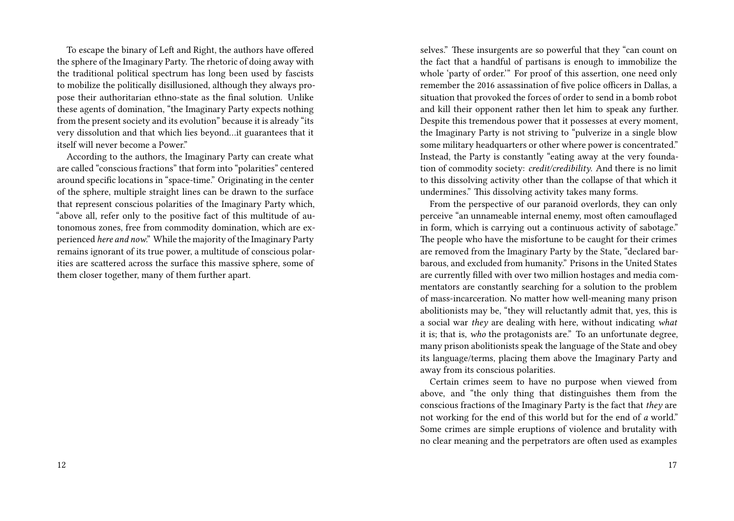To escape the binary of Left and Right, the authors have offered the sphere of the Imaginary Party. The rhetoric of doing away with the traditional political spectrum has long been used by fascists to mobilize the politically disillusioned, although they always propose their authoritarian ethno-state as the final solution. Unlike these agents of domination, "the Imaginary Party expects nothing from the present society and its evolution" because it is already "its very dissolution and that which lies beyond…it guarantees that it itself will never become a Power."

According to the authors, the Imaginary Party can create what are called "conscious fractions" that form into "polarities" centered around specific locations in "space-time." Originating in the center of the sphere, multiple straight lines can be drawn to the surface that represent conscious polarities of the Imaginary Party which, "above all, refer only to the positive fact of this multitude of autonomous zones, free from commodity domination, which are experienced *here and now*." While the majority of the Imaginary Party remains ignorant of its true power, a multitude of conscious polarities are scattered across the surface this massive sphere, some of them closer together, many of them further apart.

selves." These insurgents are so powerful that they "can count on the fact that a handful of partisans is enough to immobilize the whole 'party of order.'" For proof of this assertion, one need only remember the 2016 assassination of five police officers in Dallas, a situation that provoked the forces of order to send in a bomb robot and kill their opponent rather then let him to speak any further. Despite this tremendous power that it possesses at every moment, the Imaginary Party is not striving to "pulverize in a single blow some military headquarters or other where power is concentrated." Instead, the Party is constantly "eating away at the very foundation of commodity society: *credit/credibility*. And there is no limit to this dissolving activity other than the collapse of that which it undermines." This dissolving activity takes many forms.

From the perspective of our paranoid overlords, they can only perceive "an unnameable internal enemy, most often camouflaged in form, which is carrying out a continuous activity of sabotage." The people who have the misfortune to be caught for their crimes are removed from the Imaginary Party by the State, "declared barbarous, and excluded from humanity." Prisons in the United States are currently filled with over two million hostages and media commentators are constantly searching for a solution to the problem of mass-incarceration. No matter how well-meaning many prison abolitionists may be, "they will reluctantly admit that, yes, this is a social war *they* are dealing with here, without indicating *what* it is; that is, *who* the protagonists are." To an unfortunate degree, many prison abolitionists speak the language of the State and obey its language/terms, placing them above the Imaginary Party and away from its conscious polarities.

Certain crimes seem to have no purpose when viewed from above, and "the only thing that distinguishes them from the conscious fractions of the Imaginary Party is the fact that *they* are not working for the end of this world but for the end of *a* world." Some crimes are simple eruptions of violence and brutality with no clear meaning and the perpetrators are often used as examples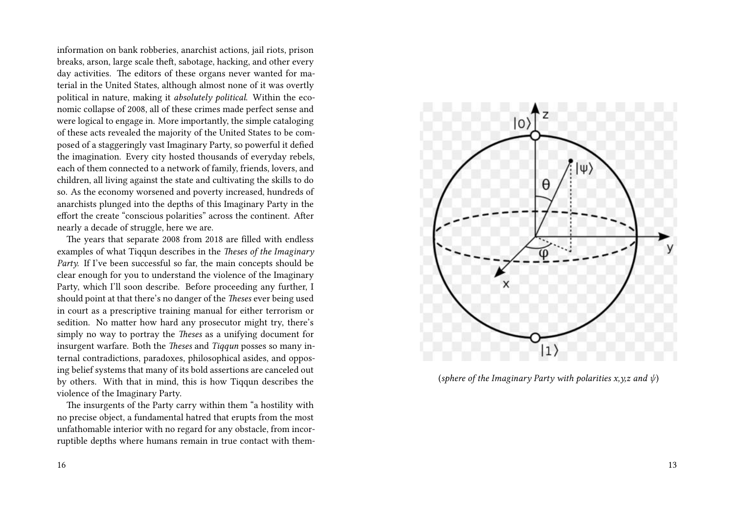information on bank robberies, anarchist actions, jail riots, prison breaks, arson, large scale theft, sabotage, hacking, and other every day activities. The editors of these organs never wanted for material in the United States, although almost none of it was overtly political in nature, making it *absolutely political*. Within the economic collapse of 2008, all of these crimes made perfect sense and were logical to engage in. More importantly, the simple cataloging of these acts revealed the majority of the United States to be composed of a staggeringly vast Imaginary Party, so powerful it defied the imagination. Every city hosted thousands of everyday rebels, each of them connected to a network of family, friends, lovers, and children, all living against the state and cultivating the skills to do so. As the economy worsened and poverty increased, hundreds of anarchists plunged into the depths of this Imaginary Party in the effort the create "conscious polarities" across the continent. After nearly a decade of struggle, here we are.

The years that separate 2008 from 2018 are filled with endless examples of what Tiqqun describes in the *Theses of the Imaginary* Party. If I've been successful so far, the main concepts should be clear enough for you to understand the violence of the Imaginary Party, which I'll soon describe. Before proceeding any further, I should point at that there's no danger of the *Theses* ever being used in court as a prescriptive training manual for either terrorism or sedition. No matter how hard any prosecutor might try, there's simply no way to portray the *Theses* as a unifying document for insurgent warfare. Both the *Theses* and *Tiqqun* posses so many internal contradictions, paradoxes, philosophical asides, and opposing belief systems that many of its bold assertions are canceled out by others. With that in mind, this is how Tiqqun describes the violence of the Imaginary Party.

The insurgents of the Party carry within them "a hostility with no precise object, a fundamental hatred that erupts from the most unfathomable interior with no regard for any obstacle, from incorruptible depths where humans remain in true contact with them-



(*sphere of the Imaginary Party with polarities x,y,z and ψ*)